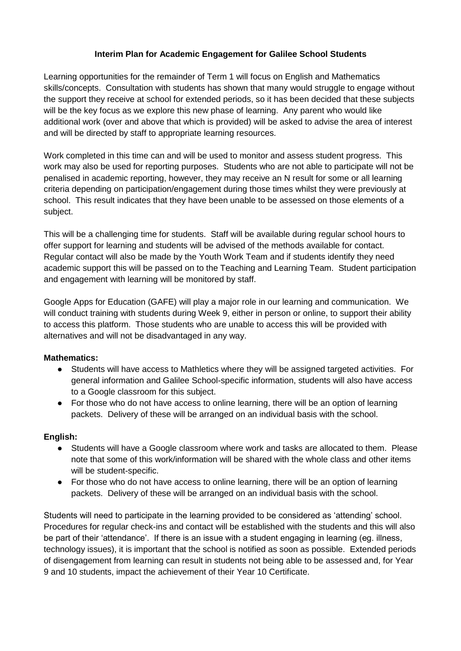## **Interim Plan for Academic Engagement for Galilee School Students**

Learning opportunities for the remainder of Term 1 will focus on English and Mathematics skills/concepts. Consultation with students has shown that many would struggle to engage without the support they receive at school for extended periods, so it has been decided that these subjects will be the key focus as we explore this new phase of learning. Any parent who would like additional work (over and above that which is provided) will be asked to advise the area of interest and will be directed by staff to appropriate learning resources.

Work completed in this time can and will be used to monitor and assess student progress. This work may also be used for reporting purposes. Students who are not able to participate will not be penalised in academic reporting, however, they may receive an N result for some or all learning criteria depending on participation/engagement during those times whilst they were previously at school. This result indicates that they have been unable to be assessed on those elements of a subject.

This will be a challenging time for students. Staff will be available during regular school hours to offer support for learning and students will be advised of the methods available for contact. Regular contact will also be made by the Youth Work Team and if students identify they need academic support this will be passed on to the Teaching and Learning Team. Student participation and engagement with learning will be monitored by staff.

Google Apps for Education (GAFE) will play a major role in our learning and communication. We will conduct training with students during Week 9, either in person or online, to support their ability to access this platform. Those students who are unable to access this will be provided with alternatives and will not be disadvantaged in any way.

## **Mathematics:**

- Students will have access to Mathletics where they will be assigned targeted activities. For general information and Galilee School-specific information, students will also have access to a Google classroom for this subject.
- For those who do not have access to online learning, there will be an option of learning packets. Delivery of these will be arranged on an individual basis with the school.

## **English:**

- Students will have a Google classroom where work and tasks are allocated to them. Please note that some of this work/information will be shared with the whole class and other items will be student-specific.
- For those who do not have access to online learning, there will be an option of learning packets. Delivery of these will be arranged on an individual basis with the school.

Students will need to participate in the learning provided to be considered as 'attending' school. Procedures for regular check-ins and contact will be established with the students and this will also be part of their 'attendance'. If there is an issue with a student engaging in learning (eg. illness, technology issues), it is important that the school is notified as soon as possible. Extended periods of disengagement from learning can result in students not being able to be assessed and, for Year 9 and 10 students, impact the achievement of their Year 10 Certificate.